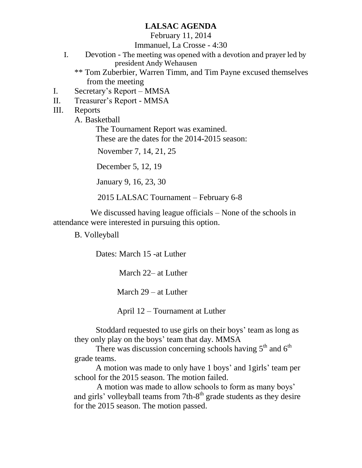### **LALSAC AGENDA**

February 11, 2014

Immanuel, La Crosse - 4:30

- I. Devotion The meeting was opened with a devotion and prayer led by president Andy Wehausen
	- \*\* Tom Zuberbier, Warren Timm, and Tim Payne excused themselves from the meeting
- I. Secretary's Report MMSA
- II. Treasurer's Report MMSA
- III. Reports

A. Basketball

The Tournament Report was examined. These are the dates for the 2014-2015 season:

November 7, 14, 21, 25

December 5, 12, 19

January 9, 16, 23, 30

2015 LALSAC Tournament – February 6-8

We discussed having league officials – None of the schools in attendance were interested in pursuing this option.

B. Volleyball

Dates: March 15 -at Luther

March 22– at Luther

March 29 – at Luther

April 12 – Tournament at Luther

Stoddard requested to use girls on their boys' team as long as they only play on the boys' team that day. MMSA

There was discussion concerning schools having  $5<sup>th</sup>$  and  $6<sup>th</sup>$ grade teams.

A motion was made to only have 1 boys' and 1girls' team per school for the 2015 season. The motion failed.

 A motion was made to allow schools to form as many boys' and girls' volleyball teams from 7th-8<sup>th</sup> grade students as they desire for the 2015 season. The motion passed.